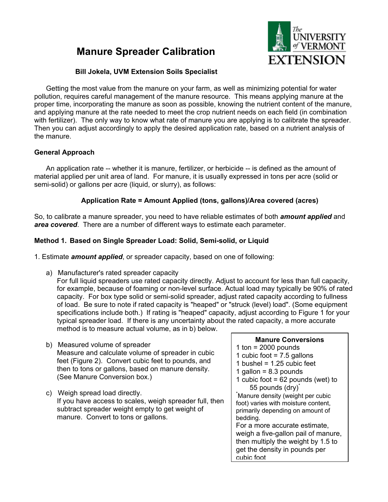# **Manure Spreader Calibration**



## **Bill Jokela, UVM Extension Soils Specialist**

Getting the most value from the manure on your farm, as well as minimizing potential for water pollution, requires careful management of the manure resource. This means applying manure at the proper time, incorporating the manure as soon as possible, knowing the nutrient content of the manure, and applying manure at the rate needed to meet the crop nutrient needs on each field (in combination with fertilizer). The only way to know what rate of manure you are applying is to calibrate the spreader. Then you can adjust accordingly to apply the desired application rate, based on a nutrient analysis of the manure.

## **General Approach**

An application rate -- whether it is manure, fertilizer, or herbicide -- is defined as the amount of material applied per unit area of land. For manure, it is usually expressed in tons per acre (solid or semi-solid) or gallons per acre (liquid, or slurry), as follows:

## **Application Rate = Amount Applied (tons, gallons)/Area covered (acres)**

So, to calibrate a manure spreader, you need to have reliable estimates of both *amount applied* and *area covered*. There are a number of different ways to estimate each parameter.

## **Method 1. Based on Single Spreader Load: Solid, Semi-solid, or Liquid**

1. Estimate *amount applied*, or spreader capacity, based on one of following:

a) Manufacturer's rated spreader capacity

For full liquid spreaders use rated capacity directly. Adjust to account for less than full capacity, for example, because of foaming or non-level surface. Actual load may typically be 90% of rated capacity. For box type solid or semi-solid spreader, adjust rated capacity according to fullness of load. Be sure to note if rated capacity is "heaped" or "struck (level) load". (Some equipment specifications include both.) If rating is "heaped" capacity, adjust according to Figure 1 for your typical spreader load. If there is any uncertainty about the rated capacity, a more accurate method is to measure actual volume, as in b) below.

- b) Measured volume of spreader Measure and calculate volume of spreader in cubic feet (Figure 2). Convert cubic feet to pounds, and then to tons or gallons, based on manure density. (See Manure Conversion box.)
- c) Weigh spread load directly. If you have access to scales, weigh spreader full, then subtract spreader weight empty to get weight of manure. Convert to tons or gallons.

#### **Manure Conversions**

- 1 ton  $= 2000$  pounds
- 1 cubic foot  $= 7.5$  gallons
- 1 bushel =  $1.25$  cubic feet
- 1 gallon =  $8.3$  pounds
- 1 cubic foot  $= 62$  pounds (wet) to 55 pounds (dry)<sup>\*</sup>

\* Manure density (weight per cubic foot) varies with moisture content, primarily depending on amount of bedding.

For a more accurate estimate, weigh a five-gallon pail of manure, then multiply the weight by 1.5 to get the density in pounds per cubic foot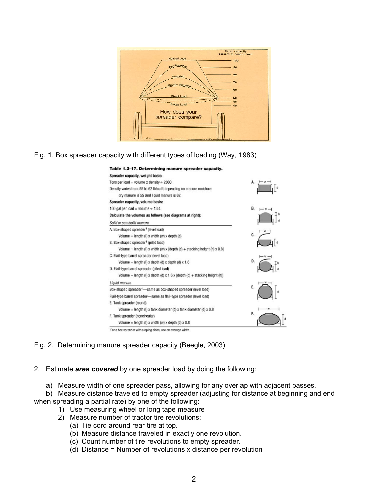

Fig. 1. Box spreader capacity with different types of loading (Way, 1983)



Fig. 2. Determining manure spreader capacity (Beegle, 2003)

2. Estimate *area covered* by one spreader load by doing the following:

a) Measure width of one spreader pass, allowing for any overlap with adjacent passes.

b) Measure distance traveled to empty spreader (adjusting for distance at beginning and end when spreading a partial rate) by one of the following:

- 1) Use measuring wheel or long tape measure
- 2) Measure number of tractor tire revolutions:
	- (a) Tie cord around rear tire at top.
	- (b) Measure distance traveled in exactly one revolution.
	- (c) Count number of tire revolutions to empty spreader.
	- (d) Distance = Number of revolutions x distance per revolution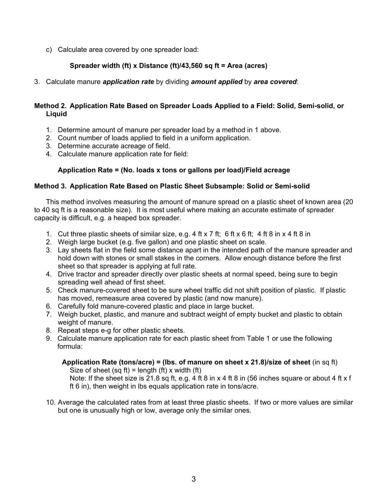c) Calculate area covered by one spreader load:

## **Spreader width (ft) x Distance (ft)/43,560 sq ft = Area (acres)**

3. Calculate manure *application rate* by dividing *amount applied* by *area covered*:

#### **Method 2. Application Rate Based on Spreader Loads Applied to a Field: Solid, Semi-solid, or Liquid**

- 1. Determine amount of manure per spreader load by a method in 1 above.
- 2. Count number of loads applied to field in a uniform application.
- 3. Determine accurate acreage of field.
- 4. Calculate manure application rate for field:

# **Application Rate = (No. loads x tons or gallons per load)/Field acreage**

## **Method 3. Application Rate Based on Plastic Sheet Subsample: Solid or Semi-solid**

This method involves measuring the amount of manure spread on a plastic sheet of known area (20 to 40 sq ft is a reasonable size). It is most useful where making an accurate estimate of spreader capacity is difficult, e.g. a heaped box spreader.

- 1. Cut three plastic sheets of similar size, e.g. 4 ft x 7 ft; 6 ft x 6 ft; 4 ft 8 in x 4 ft 8 in
- 2. Weigh large bucket (e.g. five gallon) and one plastic sheet on scale.
- 3. Lay sheets flat in the field some distance apart in the intended path of the manure spreader and hold down with stones or small stakes in the corners. Allow enough distance before the first sheet so that spreader is applying at full rate.
- 4. Drive tractor and spreader directly over plastic sheets at normal speed, being sure to begin spreading well ahead of first sheet.
- 5. Check manure-covered sheet to be sure wheel traffic did not shift position of plastic. If plastic has moved, remeasure area covered by plastic (and now manure).
- 6. Carefully fold manure-covered plastic and place in large bucket.
- 7. Weigh bucket, plastic, and manure and subtract weight of empty bucket and plastic to obtain weight of manure.
- 8. Repeat steps e-g for other plastic sheets.
- 9. Calculate manure application rate for each plastic sheet from Table 1 or use the following formula:

**Application Rate (tons/acre) = (lbs. of manure on sheet x 21.8)/size of sheet** (in sq ft) Size of sheet (sq ft) = length (ft) x width (ft)

Note: If the sheet size is 21.8 sq ft, e.g. 4 ft 8 in x 4 ft 8 in (56 inches square or about 4 ft x f ft 6 in), then weight in lbs equals application rate in tons/acre.

10. Average the calculated rates from at least three plastic sheets. If two or more values are similar but one is unusually high or low, average only the similar ones.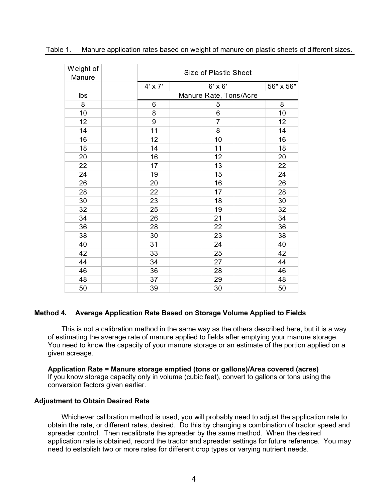| Weight of<br>Manure |         | Size of Plastic Sheet  |           |  |
|---------------------|---------|------------------------|-----------|--|
|                     | 4' x 7' | $6' \times 6'$         | 56" x 56" |  |
| Ibs                 |         | Manure Rate, Tons/Acre |           |  |
| 8                   | 6       | 5                      | 8         |  |
| 10                  | 8       | 6                      | 10        |  |
| 12                  | 9       | $\overline{7}$         | 12        |  |
| 14                  | 11      | 8                      | 14        |  |
| 16                  | 12      | 10                     | 16        |  |
| 18                  | 14      | 11                     | 18        |  |
| 20                  | 16      | 12                     | 20        |  |
| 22                  | 17      | 13                     | 22        |  |
| 24                  | 19      | 15                     | 24        |  |
| 26                  | 20      | 16                     | 26        |  |
| 28                  | 22      | 17                     | 28        |  |
| 30                  | 23      | 18                     | 30        |  |
| 32                  | 25      | 19                     | 32        |  |
| 34                  | 26      | 21                     | 34        |  |
| 36                  | 28      | 22                     | 36        |  |
| 38                  | 30      | 23                     | 38        |  |
| 40                  | 31      | 24                     | 40        |  |
| 42                  | 33      | 25                     | 42        |  |
| 44                  | 34      | 27                     | 44        |  |
| 46                  | 36      | 28                     | 46        |  |
| 48                  | 37      | 29                     | 48        |  |
| 50                  | 39      | 30                     | 50        |  |

#### Table 1. Manure application rates based on weight of manure on plastic sheets of different sizes.

#### **Method 4. Average Application Rate Based on Storage Volume Applied to Fields**

This is not a calibration method in the same way as the others described here, but it is a way of estimating the average rate of manure applied to fields after emptying your manure storage. You need to know the capacity of your manure storage or an estimate of the portion applied on a given acreage.

**Application Rate = Manure storage emptied (tons or gallons)/Area covered (acres)** If you know storage capacity only in volume (cubic feet), convert to gallons or tons using the conversion factors given earlier.

#### **Adjustment to Obtain Desired Rate**

Whichever calibration method is used, you will probably need to adjust the application rate to obtain the rate, or different rates, desired. Do this by changing a combination of tractor speed and spreader control. Then recalibrate the spreader by the same method. When the desired application rate is obtained, record the tractor and spreader settings for future reference. You may need to establish two or more rates for different crop types or varying nutrient needs.